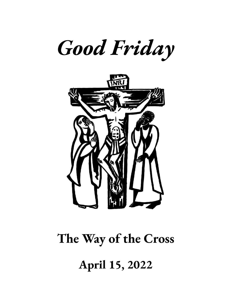



# **The Way of the Cross April 15, 2022**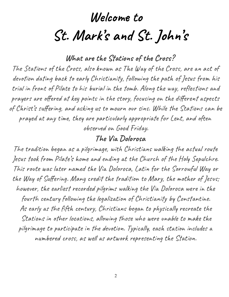## **Welcome to St. Mark' s and St. John s '**

**What are the Stations of the Cross?**

The Stations of the Cross, also known as The Way of the Cross, are an act of devotion dating back to early Christianity, following the path of Jesus from his trial in front of Pilate to his burial in the tomb. Along the way, reflections and prayers are offered at key points in the story, focusing on the different aspects of Christ' s suffering, and asking us to mourn our sins. While the Stations can be prayed at any time, they are particularly appropriate for Lent, and often observed on Good Friday.

#### **The Via Dolorosa**

The tradition began as a pilgrimage, with Christians walking the actual route Jesus took from Pilate's home and ending at the Church of the Holy Sepulchre. ' This route was later named the Via Dolorosa, Latin for the Sorrowful Way or the Way of Suffering. Many credit the tradition to Mary, the mother of Jesus; however, the earliest recorded pilgrims walking the Via Dolorosa were in the fourth century following the legalization of Christianity by Constantine. As early as the fifth century, Christians began to physically recreate the Stations in other locations, allowing those who were unable to make the pilgrimage to participate in the devotion. Typically, each station includes a numbered cross, as well as artwork representing the Station.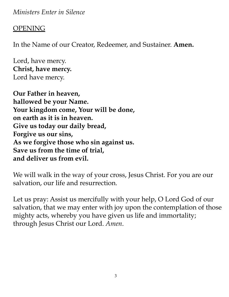*Ministers Enter in Silence*

#### **OPENING**

In the Name of our Creator, Redeemer, and Sustainer. **Amen.**

Lord, have mercy. **Christ, have mercy.** Lord have mercy.

**Our Father in heaven, hallowed be your Name. Your kingdom come, Your will be done, on earth as it is in heaven. Give us today our daily bread, Forgive us our sins, As we forgive those who sin against us. Save us from the time of trial, and deliver us from evil.**

We will walk in the way of your cross, Jesus Christ. For you are our salvation, our life and resurrection.

Let us pray: Assist us mercifully with your help, O Lord God of our salvation, that we may enter with joy upon the contemplation of those mighty acts, whereby you have given us life and immortality; through Jesus Christ our Lord. *Amen*.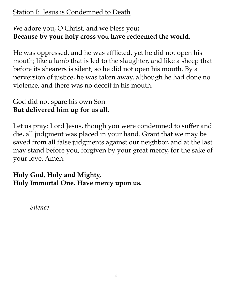#### Station I: Jesus is Condemned to Death

#### We adore you, O Christ, and we bless you**: Because by your holy cross you have redeemed the world.**

He was oppressed, and he was afflicted, yet he did not open his mouth; like a lamb that is led to the slaughter, and like a sheep that before its shearers is silent, so he did not open his mouth. By a perversion of justice, he was taken away, although he had done no violence, and there was no deceit in his mouth.

#### God did not spare his own Son: **But delivered him up for us all.**

Let us pray: Lord Jesus, though you were condemned to suffer and die, all judgment was placed in your hand. Grant that we may be saved from all false judgments against our neighbor, and at the last may stand before you, forgiven by your great mercy, for the sake of your love. Amen.

#### **Holy God, Holy and Mighty, Holy Immortal One. Have mercy upon us.**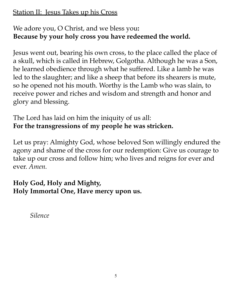#### Station II: Jesus Takes up his Cross

#### We adore you, O Christ, and we bless you**: Because by your holy cross you have redeemed the world.**

Jesus went out, bearing his own cross, to the place called the place of a skull, which is called in Hebrew, Golgotha. Although he was a Son, he learned obedience through what he suffered. Like a lamb he was led to the slaughter; and like a sheep that before its shearers is mute, so he opened not his mouth. Worthy is the Lamb who was slain, to receive power and riches and wisdom and strength and honor and glory and blessing.

#### The Lord has laid on him the iniquity of us all: **For the transgressions of my people he was stricken.**

Let us pray: Almighty God, whose beloved Son willingly endured the agony and shame of the cross for our redemption: Give us courage to take up our cross and follow him; who lives and reigns for ever and ever. *Amen.*

#### **Holy God, Holy and Mighty, Holy Immortal One, Have mercy upon us.**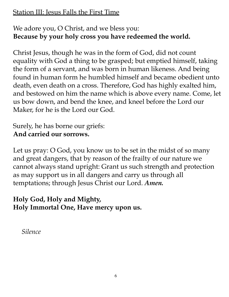#### Station III: Jesus Falls the First Time

#### We adore you, O Christ, and we bless you: **Because by your holy cross you have redeemed the world.**

Christ Jesus, though he was in the form of God, did not count equality with God a thing to be grasped; but emptied himself, taking the form of a servant, and was born in human likeness. And being found in human form he humbled himself and became obedient unto death, even death on a cross. Therefore, God has highly exalted him, and bestowed on him the name which is above every name. Come, let us bow down, and bend the knee, and kneel before the Lord our Maker, for he is the Lord our God.

#### Surely, he has borne our griefs: **And carried our sorrows.**

Let us pray: O God, you know us to be set in the midst of so many and great dangers, that by reason of the frailty of our nature we cannot always stand upright: Grant us such strength and protection as may support us in all dangers and carry us through all temptations; through Jesus Christ our Lord. *Amen.*

#### **Holy God, Holy and Mighty, Holy Immortal One, Have mercy upon us.**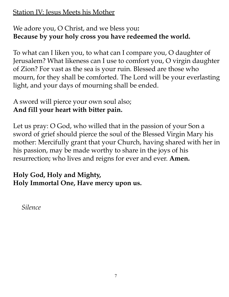Station IV: Jesus Meets his Mother

#### We adore you, O Christ, and we bless you**: Because by your holy cross you have redeemed the world.**

To what can I liken you, to what can I compare you, O daughter of Jerusalem? What likeness can I use to comfort you, O virgin daughter of Zion? For vast as the sea is your ruin. Blessed are those who mourn, for they shall be comforted. The Lord will be your everlasting light, and your days of mourning shall be ended.

#### A sword will pierce your own soul also; **And fill your heart with bitter pain.**

Let us pray: O God, who willed that in the passion of your Son a sword of grief should pierce the soul of the Blessed Virgin Mary his mother: Mercifully grant that your Church, having shared with her in his passion, may be made worthy to share in the joys of his resurrection; who lives and reigns for ever and ever. **Amen.**

#### **Holy God, Holy and Mighty, Holy Immortal One, Have mercy upon us.**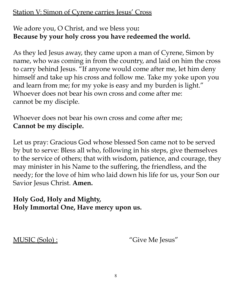#### Station V: Simon of Cyrene carries Jesus' Cross

#### We adore you, O Christ, and we bless you**: Because by your holy cross you have redeemed the world.**

As they led Jesus away, they came upon a man of Cyrene, Simon by name, who was coming in from the country, and laid on him the cross to carry behind Jesus. "If anyone would come after me, let him deny himself and take up his cross and follow me. Take my yoke upon you and learn from me; for my yoke is easy and my burden is light." Whoever does not bear his own cross and come after me: cannot be my disciple.

Whoever does not bear his own cross and come after me; **Cannot be my disciple.**

Let us pray: Gracious God whose blessed Son came not to be served by but to serve: Bless all who, following in his steps, give themselves to the service of others; that with wisdom, patience, and courage, they may minister in his Name to the suffering, the friendless, and the needy; for the love of him who laid down his life for us, your Son our Savior Jesus Christ. **Amen.**

#### **Holy God, Holy and Mighty, Holy Immortal One, Have mercy upon us.**

MUSIC (Solo) : "Give Me Jesus"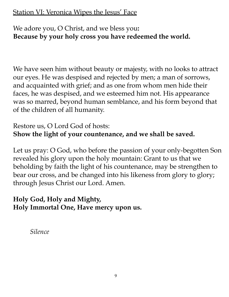#### Station VI: Veronica Wipes the Jesus' Face

#### We adore you, O Christ, and we bless you**: Because by your holy cross you have redeemed the world.**

We have seen him without beauty or majesty, with no looks to attract our eyes. He was despised and rejected by men; a man of sorrows, and acquainted with grief; and as one from whom men hide their faces, he was despised, and we esteemed him not. His appearance was so marred, beyond human semblance, and his form beyond that of the children of all humanity.

#### Restore us, O Lord God of hosts: **Show the light of your countenance, and we shall be saved.**

Let us pray: O God, who before the passion of your only-begotten Son revealed his glory upon the holy mountain: Grant to us that we beholding by faith the light of his countenance, may be strengthen to bear our cross, and be changed into his likeness from glory to glory; through Jesus Christ our Lord. Amen.

#### **Holy God, Holy and Mighty, Holy Immortal One, Have mercy upon us.**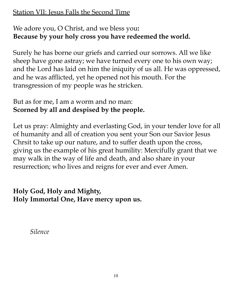#### Station VII: Jesus Falls the Second Time

#### We adore you, O Christ, and we bless you**: Because by your holy cross you have redeemed the world.**

Surely he has borne our griefs and carried our sorrows. All we like sheep have gone astray; we have turned every one to his own way; and the Lord has laid on him the iniquity of us all. He was oppressed, and he was afflicted, yet he opened not his mouth. For the transgression of my people was he stricken.

#### But as for me, I am a worm and no man: **Scorned by all and despised by the people.**

Let us pray: Almighty and everlasting God, in your tender love for all of humanity and all of creation you sent your Son our Savior Jesus Chrsit to take up our nature, and to suffer death upon the cross, giving us the example of his great humility: Mercifully grant that we may walk in the way of life and death, and also share in your resurrection; who lives and reigns for ever and ever Amen.

#### **Holy God, Holy and Mighty, Holy Immortal One, Have mercy upon us.**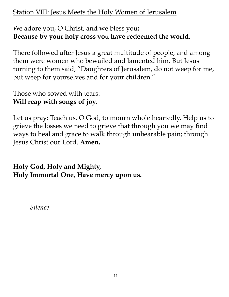#### Station VIII: Jesus Meets the Holy Women of Jerusalem

#### We adore you, O Christ, and we bless you**: Because by your holy cross you have redeemed the world.**

There followed after Jesus a great multitude of people, and among them were women who bewailed and lamented him. But Jesus turning to them said, "Daughters of Jerusalem, do not weep for me, but weep for yourselves and for your children."

Those who sowed with tears: **Will reap with songs of joy.**

Let us pray: Teach us, O God, to mourn whole heartedly. Help us to grieve the losses we need to grieve that through you we may find ways to heal and grace to walk through unbearable pain; through Jesus Christ our Lord. **Amen.**

**Holy God, Holy and Mighty, Holy Immortal One, Have mercy upon us.**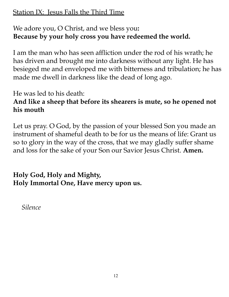#### Station IX: Jesus Falls the Third Time

#### We adore you, O Christ, and we bless you**: Because by your holy cross you have redeemed the world.**

I am the man who has seen affliction under the rod of his wrath; he has driven and brought me into darkness without any light. He has besieged me and enveloped me with bitterness and tribulation; he has made me dwell in darkness like the dead of long ago.

He was led to his death:

#### **And like a sheep that before its shearers is mute, so he opened not his mouth**

Let us pray. O God, by the passion of your blessed Son you made an instrument of shameful death to be for us the means of life: Grant us so to glory in the way of the cross, that we may gladly suffer shame and loss for the sake of your Son our Savior Jesus Christ. **Amen.**

### **Holy God, Holy and Mighty, Holy Immortal One, Have mercy upon us.**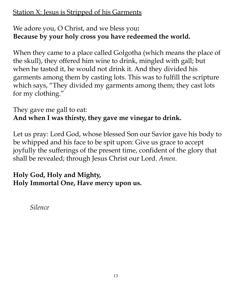#### Station X: Jesus is Stripped of his Garments

#### We adore you, O Christ, and we bless you**: Because by your holy cross you have redeemed the world.**

When they came to a place called Golgotha (which means the place of the skull), they offered him wine to drink, mingled with gall; but when he tasted it, he would not drink it. And they divided his garments among them by casting lots. This was to fulfill the scripture which says, "They divided my garments among them; they cast lots for my clothing."

#### They gave me gall to eat: **And when I was thirsty, they gave me vinegar to drink.**

Let us pray: Lord God, whose blessed Son our Savior gave his body to be whipped and his face to be spit upon: Give us grace to accept joyfully the sufferings of the present time, confident of the glory that shall be revealed; through Jesus Christ our Lord. *Amen.*

#### **Holy God, Holy and Mighty, Holy Immortal One, Have mercy upon us.**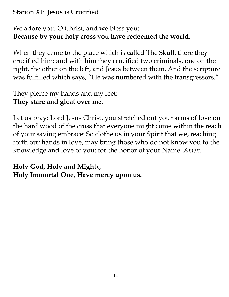#### Station XI: Jesus is Crucified

#### We adore you, O Christ, and we bless you: **Because by your holy cross you have redeemed the world.**

When they came to the place which is called The Skull, there they crucified him; and with him they crucified two criminals, one on the right, the other on the left, and Jesus between them. And the scripture was fulfilled which says, "He was numbered with the transgressors."

#### They pierce my hands and my feet: **They stare and gloat over me.**

Let us pray: Lord Jesus Christ, you stretched out your arms of love on the hard wood of the cross that everyone might come within the reach of your saving embrace: So clothe us in your Spirit that we, reaching forth our hands in love, may bring those who do not know you to the knowledge and love of you; for the honor of your Name. *Amen.*

#### **Holy God, Holy and Mighty, Holy Immortal One, Have mercy upon us.**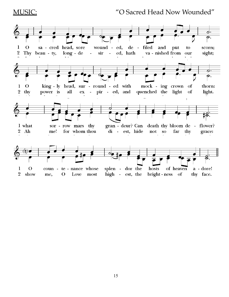#### MUSIC: "O Sacred Head Now Wounded"

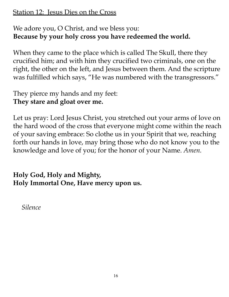#### Station 12: Jesus Dies on the Cross

#### We adore you, O Christ, and we bless you: **Because by your holy cross you have redeemed the world.**

When they came to the place which is called The Skull, there they crucified him; and with him they crucified two criminals, one on the right, the other on the left, and Jesus between them. And the scripture was fulfilled which says, "He was numbered with the transgressors."

#### They pierce my hands and my feet: **They stare and gloat over me.**

Let us pray: Lord Jesus Christ, you stretched out your arms of love on the hard wood of the cross that everyone might come within the reach of your saving embrace: So clothe us in your Spirit that we, reaching forth our hands in love, may bring those who do not know you to the knowledge and love of you; for the honor of your Name. *Amen.*

#### **Holy God, Holy and Mighty, Holy Immortal One, Have mercy upon us.**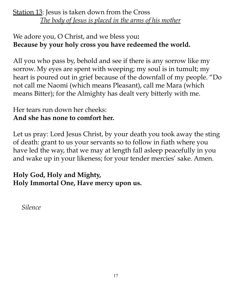#### Station 13: Jesus is taken down from the Cross *The body of Jesus is placed in the arms of his mother*

#### We adore you, O Christ, and we bless you**: Because by your holy cross you have redeemed the world.**

All you who pass by, behold and see if there is any sorrow like my sorrow. My eyes are spent with weeping; my soul is in tumult; my heart is poured out in grief because of the downfall of my people. "Do not call me Naomi (which means Pleasant), call me Mara (which means Bitter); for the Almighty has dealt very bitterly with me.

#### Her tears run down her cheeks: **And she has none to comfort her.**

Let us pray: Lord Jesus Christ, by your death you took away the sting of death: grant to us your servants so to follow in fiath where you have led the way, that we may at length fall asleep peacefully in you and wake up in your likeness; for your tender mercies' sake. Amen.

#### **Holy God, Holy and Mighty, Holy Immortal One, Have mercy upon us.**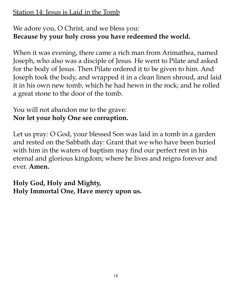#### Station 14: Jesus is Laid in the Tomb

#### We adore you, O Christ, and we bless you: **Because by your holy cross you have redeemed the world.**

When it was evening, there came a rich man from Arimathea, named Joseph, who also was a disciple of Jesus. He went to Pilate and asked for the body of Jesus. Then Pilate ordered it to be given to him. And Joseph took the body, and wrapped it in a clean linen shroud, and laid it in his own new tomb, which he had hewn in the rock; and he rolled a great stone to the door of the tomb.

#### You will not abandon me to the grave: **Nor let your holy One see corruption.**

Let us pray: O God, your blessed Son was laid in a tomb in a garden and rested on the Sabbath day: Grant that we who have been buried with him in the waters of baptism may find our perfect rest in his eternal and glorious kingdom; where he lives and reigns forever and ever. **Amen.**

**Holy God, Holy and Mighty, Holy Immortal One, Have mercy upon us.**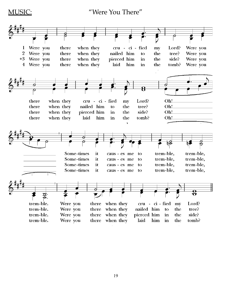MUSIC: "Were You There"